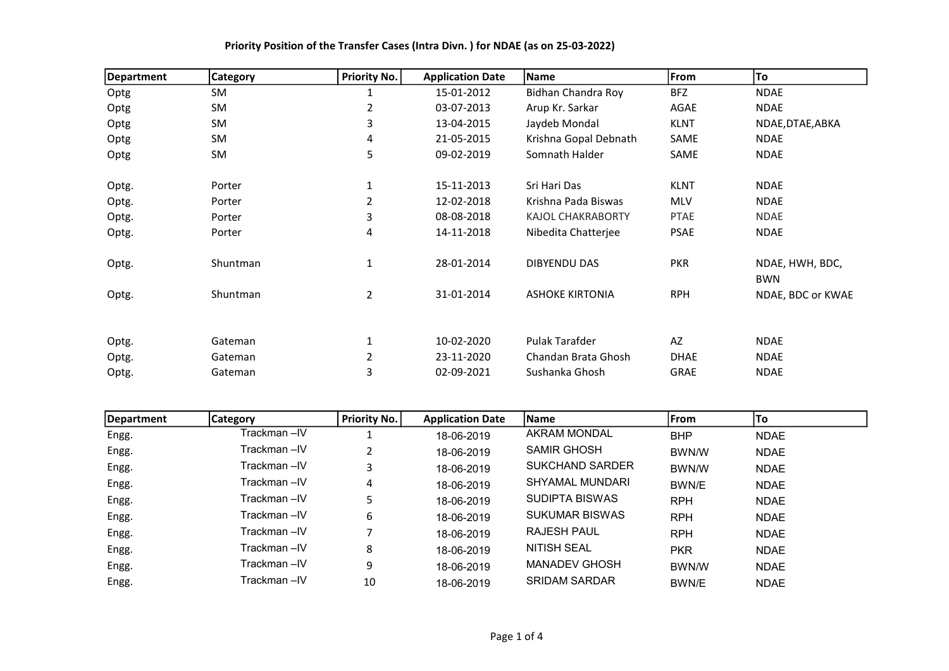| Department | <b>Category</b> | <b>Priority No.</b> | <b>Application Date</b> | Name                     | From        | To                            |
|------------|-----------------|---------------------|-------------------------|--------------------------|-------------|-------------------------------|
| Optg       | SM              | 1                   | 15-01-2012              | Bidhan Chandra Roy       | <b>BFZ</b>  | <b>NDAE</b>                   |
| Optg       | SM              | 2                   | 03-07-2013              | Arup Kr. Sarkar          | AGAE        | <b>NDAE</b>                   |
| Optg       | SM              | 3                   | 13-04-2015              | Jaydeb Mondal            | <b>KLNT</b> | NDAE, DTAE, ABKA              |
| Optg       | SM              | 4                   | 21-05-2015              | Krishna Gopal Debnath    | SAME        | <b>NDAE</b>                   |
| Optg       | <b>SM</b>       | 5                   | 09-02-2019              | Somnath Halder           | SAME        | <b>NDAE</b>                   |
| Optg.      | Porter          |                     | 15-11-2013              | Sri Hari Das             | <b>KLNT</b> | <b>NDAE</b>                   |
| Optg.      | Porter          | 2                   | 12-02-2018              | Krishna Pada Biswas      | <b>MLV</b>  | <b>NDAE</b>                   |
| Optg.      | Porter          | 3                   | 08-08-2018              | <b>KAJOL CHAKRABORTY</b> | <b>PTAE</b> | <b>NDAE</b>                   |
| Optg.      | Porter          | 4                   | 14-11-2018              | Nibedita Chatterjee      | <b>PSAE</b> | <b>NDAE</b>                   |
| Optg.      | Shuntman        | 1                   | 28-01-2014              | DIBYENDU DAS             | <b>PKR</b>  | NDAE, HWH, BDC,<br><b>BWN</b> |
| Optg.      | Shuntman        | $\overline{2}$      | 31-01-2014              | <b>ASHOKE KIRTONIA</b>   | <b>RPH</b>  | NDAE, BDC or KWAE             |
|            |                 |                     |                         |                          |             |                               |
| Optg.      | Gateman         |                     | 10-02-2020              | Pulak Tarafder           | AZ          | <b>NDAE</b>                   |
| Optg.      | Gateman         | 2                   | 23-11-2020              | Chandan Brata Ghosh      | <b>DHAE</b> | <b>NDAE</b>                   |
| Optg.      | Gateman         | 3                   | 02-09-2021              | Sushanka Ghosh           | <b>GRAE</b> | <b>NDAE</b>                   |

| Department | <b>Category</b> | <b>Priority No.</b> | <b>Application Date</b> | <b>Name</b>            | <b>IFrom</b> | To          |
|------------|-----------------|---------------------|-------------------------|------------------------|--------------|-------------|
| Engg.      | Trackman –IV    |                     | 18-06-2019              | <b>AKRAM MONDAL</b>    | <b>BHP</b>   | <b>NDAE</b> |
| Engg.      | Trackman –IV    | C.                  | 18-06-2019              | <b>SAMIR GHOSH</b>     | BWN/W        | <b>NDAE</b> |
| Engg.      | Trackman-IV     | 3                   | 18-06-2019              | <b>SUKCHAND SARDER</b> | BWN/W        | <b>NDAE</b> |
| Engg.      | Trackman-IV     | 4                   | 18-06-2019              | <b>SHYAMAL MUNDARI</b> | BWN/E        | <b>NDAE</b> |
| Engg.      | Trackman-IV     |                     | 18-06-2019              | SUDIPTA BISWAS         | <b>RPH</b>   | <b>NDAE</b> |
| Engg.      | Trackman –IV    | 6                   | 18-06-2019              | <b>SUKUMAR BISWAS</b>  | <b>RPH</b>   | <b>NDAE</b> |
| Engg.      | Trackman –IV    |                     | 18-06-2019              | <b>RAJESH PAUL</b>     | <b>RPH</b>   | <b>NDAE</b> |
| Engg.      | Trackman –IV    | 8                   | 18-06-2019              | <b>NITISH SEAL</b>     | <b>PKR</b>   | <b>NDAE</b> |
| Engg.      | Trackman-IV     | 9                   | 18-06-2019              | <b>MANADEV GHOSH</b>   | <b>BWN/W</b> | <b>NDAE</b> |
| Engg.      | Trackman –IV    | 10                  | 18-06-2019              | <b>SRIDAM SARDAR</b>   | BWN/E        | <b>NDAE</b> |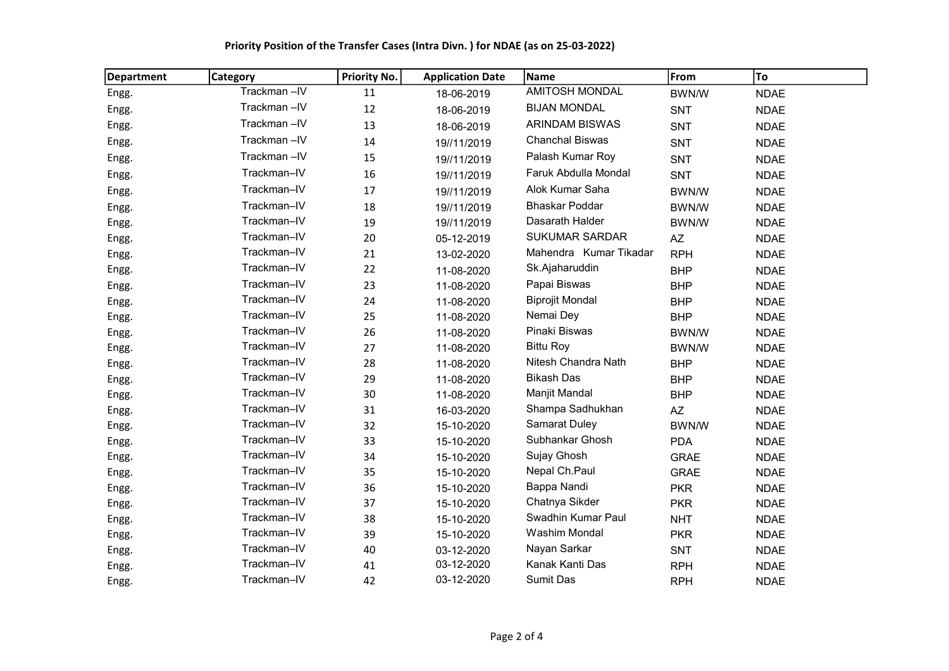| <b>Department</b> | <b>Category</b> | <b>Priority No.</b> | <b>Application Date</b> | Name                   | From         | To          |
|-------------------|-----------------|---------------------|-------------------------|------------------------|--------------|-------------|
| Engg.             | Trackman-IV     | 11                  | 18-06-2019              | <b>AMITOSH MONDAL</b>  | BWN/W        | <b>NDAE</b> |
| Engg.             | Trackman-IV     | 12                  | 18-06-2019              | <b>BIJAN MONDAL</b>    | <b>SNT</b>   | <b>NDAE</b> |
| Engg.             | Trackman-IV     | 13                  | 18-06-2019              | <b>ARINDAM BISWAS</b>  | <b>SNT</b>   | <b>NDAE</b> |
| Engg.             | Trackman-IV     | 14                  | 19//11/2019             | <b>Chanchal Biswas</b> | <b>SNT</b>   | <b>NDAE</b> |
| Engg.             | Trackman-IV     | 15                  | 19//11/2019             | Palash Kumar Roy       | SNT          | <b>NDAE</b> |
| Engg.             | Trackman-IV     | 16                  | 19//11/2019             | Faruk Abdulla Mondal   | <b>SNT</b>   | <b>NDAE</b> |
| Engg.             | Trackman-IV     | 17                  | 19//11/2019             | Alok Kumar Saha        | BWN/W        | <b>NDAE</b> |
| Engg.             | Trackman-IV     | 18                  | 19//11/2019             | <b>Bhaskar Poddar</b>  | <b>BWN/W</b> | <b>NDAE</b> |
| Engg.             | Trackman-IV     | 19                  | 19//11/2019             | Dasarath Halder        | BWN/W        | <b>NDAE</b> |
| Engg.             | Trackman-IV     | 20                  | 05-12-2019              | <b>SUKUMAR SARDAR</b>  | AZ           | <b>NDAE</b> |
| Engg.             | Trackman-IV     | 21                  | 13-02-2020              | Mahendra Kumar Tikadar | <b>RPH</b>   | <b>NDAE</b> |
| Engg.             | Trackman-IV     | 22                  | 11-08-2020              | Sk.Ajaharuddin         | <b>BHP</b>   | <b>NDAE</b> |
| Engg.             | Trackman-IV     | 23                  | 11-08-2020              | Papai Biswas           | <b>BHP</b>   | <b>NDAE</b> |
| Engg.             | Trackman-IV     | 24                  | 11-08-2020              | <b>Biprojit Mondal</b> | <b>BHP</b>   | <b>NDAE</b> |
| Engg.             | Trackman-IV     | 25                  | 11-08-2020              | Nemai Dey              | <b>BHP</b>   | <b>NDAE</b> |
| Engg.             | Trackman-IV     | 26                  | 11-08-2020              | Pinaki Biswas          | <b>BWN/W</b> | <b>NDAE</b> |
| Engg.             | Trackman-IV     | 27                  | 11-08-2020              | <b>Bittu Roy</b>       | BWN/W        | <b>NDAE</b> |
| Engg.             | Trackman-IV     | 28                  | 11-08-2020              | Nitesh Chandra Nath    | <b>BHP</b>   | <b>NDAE</b> |
| Engg.             | Trackman-IV     | 29                  | 11-08-2020              | <b>Bikash Das</b>      | <b>BHP</b>   | <b>NDAE</b> |
| Engg.             | Trackman-IV     | 30                  | 11-08-2020              | Manjit Mandal          | <b>BHP</b>   | <b>NDAE</b> |
| Engg.             | Trackman-IV     | 31                  | 16-03-2020              | Shampa Sadhukhan       | AZ           | <b>NDAE</b> |
| Engg.             | Trackman-IV     | 32                  | 15-10-2020              | <b>Samarat Duley</b>   | <b>BWN/W</b> | <b>NDAE</b> |
| Engg.             | Trackman-IV     | 33                  | 15-10-2020              | Subhankar Ghosh        | <b>PDA</b>   | <b>NDAE</b> |
| Engg.             | Trackman-IV     | 34                  | 15-10-2020              | Sujay Ghosh            | <b>GRAE</b>  | <b>NDAE</b> |
| Engg.             | Trackman-IV     | 35                  | 15-10-2020              | Nepal Ch.Paul          | <b>GRAE</b>  | <b>NDAE</b> |
| Engg.             | Trackman-IV     | 36                  | 15-10-2020              | Bappa Nandi            | <b>PKR</b>   | <b>NDAE</b> |
| Engg.             | Trackman-IV     | 37                  | 15-10-2020              | Chatnya Sikder         | <b>PKR</b>   | <b>NDAE</b> |
| Engg.             | Trackman-IV     | 38                  | 15-10-2020              | Swadhin Kumar Paul     | <b>NHT</b>   | <b>NDAE</b> |
| Engg.             | Trackman-IV     | 39                  | 15-10-2020              | <b>Washim Mondal</b>   | <b>PKR</b>   | <b>NDAE</b> |
| Engg.             | Trackman-IV     | 40                  | 03-12-2020              | Nayan Sarkar           | <b>SNT</b>   | <b>NDAE</b> |
| Engg.             | Trackman-IV     | 41                  | 03-12-2020              | Kanak Kanti Das        | <b>RPH</b>   | <b>NDAE</b> |
| Engg.             | Trackman-IV     | 42                  | 03-12-2020              | <b>Sumit Das</b>       | <b>RPH</b>   | <b>NDAE</b> |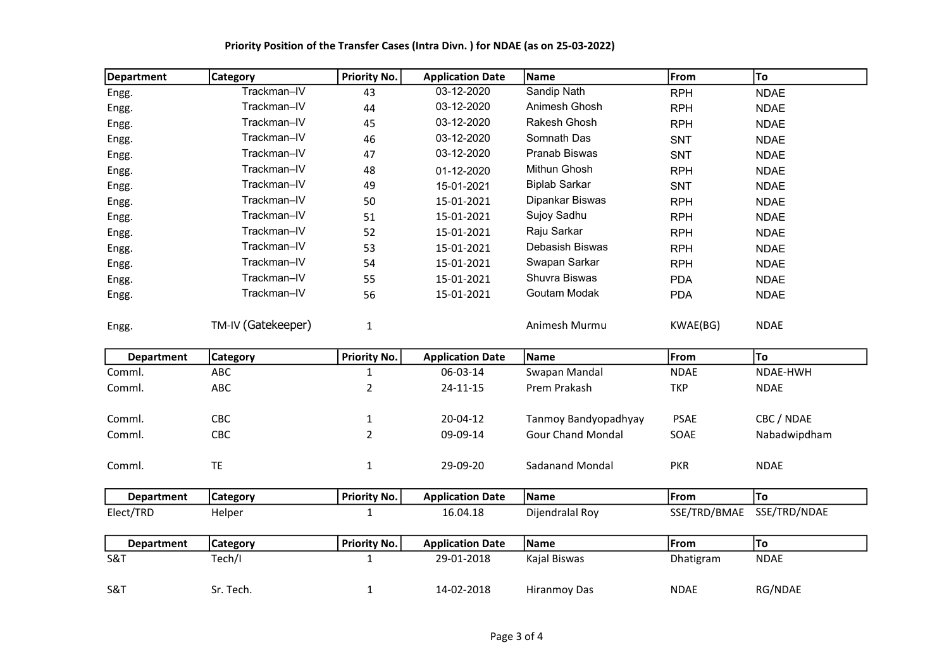| <b>Department</b> | Category           | <b>Priority No.</b> | <b>Application Date</b> | Name                     | From         | To           |
|-------------------|--------------------|---------------------|-------------------------|--------------------------|--------------|--------------|
| Engg.             | Trackman-IV        | 43                  | 03-12-2020              | Sandip Nath              | <b>RPH</b>   | <b>NDAE</b>  |
| Engg.             | Trackman-IV        | 44                  | 03-12-2020              | Animesh Ghosh            | <b>RPH</b>   | <b>NDAE</b>  |
| Engg.             | Trackman-IV        | 45                  | 03-12-2020              | Rakesh Ghosh             | <b>RPH</b>   | <b>NDAE</b>  |
| Engg.             | Trackman-IV        | 46                  | 03-12-2020              | Somnath Das              | SNT          | <b>NDAE</b>  |
| Engg.             | Trackman-IV        | 47                  | 03-12-2020              | Pranab Biswas            | <b>SNT</b>   | <b>NDAE</b>  |
| Engg.             | Trackman-IV        | 48                  | 01-12-2020              | Mithun Ghosh             | <b>RPH</b>   | <b>NDAE</b>  |
| Engg.             | Trackman-IV        | 49                  | 15-01-2021              | <b>Biplab Sarkar</b>     | SNT          | <b>NDAE</b>  |
| Engg.             | Trackman-IV        | 50                  | 15-01-2021              | Dipankar Biswas          | <b>RPH</b>   | <b>NDAE</b>  |
| Engg.             | Trackman-IV        | 51                  | 15-01-2021              | Sujoy Sadhu              | <b>RPH</b>   | <b>NDAE</b>  |
| Engg.             | Trackman-IV        | 52                  | 15-01-2021              | Raju Sarkar              | <b>RPH</b>   | <b>NDAE</b>  |
| Engg.             | Trackman-IV        | 53                  | 15-01-2021              | Debasish Biswas          | <b>RPH</b>   | <b>NDAE</b>  |
| Engg.             | Trackman-IV        | 54                  | 15-01-2021              | Swapan Sarkar            | <b>RPH</b>   | <b>NDAE</b>  |
| Engg.             | Trackman-IV        | 55                  | 15-01-2021              | Shuvra Biswas            | <b>PDA</b>   | <b>NDAE</b>  |
| Engg.             | Trackman-IV        | 56                  | 15-01-2021              | Goutam Modak             | <b>PDA</b>   | <b>NDAE</b>  |
| Engg.             | TM-IV (Gatekeeper) | $\mathbf{1}$        |                         | Animesh Murmu            | KWAE(BG)     | <b>NDAE</b>  |
| <b>Department</b> | Category           | <b>Priority No.</b> | <b>Application Date</b> | Name                     | From         | To           |
| Comml.            | ABC                | $\mathbf{1}$        | 06-03-14                | Swapan Mandal            | <b>NDAE</b>  | NDAE-HWH     |
| Comml.            | ABC                | $\overline{a}$      | $24 - 11 - 15$          | Prem Prakash             | <b>TKP</b>   | <b>NDAE</b>  |
|                   |                    |                     |                         |                          |              |              |
| Comml.            | CBC                | $\mathbf{1}$        | 20-04-12                | Tanmoy Bandyopadhyay     | <b>PSAE</b>  | CBC / NDAE   |
| Comml.            | CBC                | $\overline{2}$      | 09-09-14                | <b>Gour Chand Mondal</b> | SOAE         | Nabadwipdham |
| Comml.            | TE                 | $\mathbf{1}$        | 29-09-20                | Sadanand Mondal          | <b>PKR</b>   | <b>NDAE</b>  |
| <b>Department</b> | <b>Category</b>    | <b>Priority No.</b> | <b>Application Date</b> | Name                     | From         | To           |
| Elect/TRD         | Helper             | $\mathbf{1}$        | 16.04.18                | Dijendralal Roy          | SSE/TRD/BMAE | SSE/TRD/NDAE |
|                   |                    |                     |                         |                          |              |              |
| <b>Department</b> | <b>Category</b>    | <b>Priority No.</b> | <b>Application Date</b> | Name                     | From         | To           |
| S&T               | Tech/I             | $\mathbf{1}$        | 29-01-2018              | Kajal Biswas             | Dhatigram    | <b>NDAE</b>  |
| S&T               | Sr. Tech.          | $\mathbf{1}$        | 14-02-2018              | <b>Hiranmoy Das</b>      | <b>NDAE</b>  | RG/NDAE      |